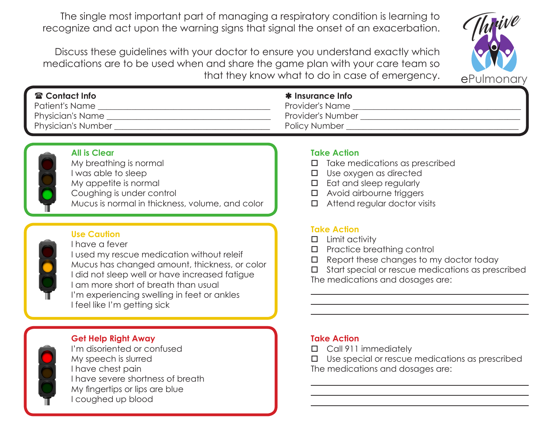The single most important part of managing a respiratory condition is learning to recognize and act upon the warning signs that signal the onset of an exacerbation.

 Discuss these guidelines with your doctor to ensure you understand exactly which medications are to be used when and share the game plan with your care team so that they know what to do in case of emergency.



| <b>雷 Contact Info</b>     | <b>*</b> Insurance Info |
|---------------------------|-------------------------|
| Patient's Name            | <b>Provider's Name</b>  |
| Physician's Name          | Provider's Number       |
| <b>Physician's Number</b> | Policy Number           |



### **All is Clear**

My breathing is normal I was able to sleep My appetite is normal Coughing is under control Mucus is normal in thickness, volume, and color

### **Use Caution**

I have a fever

I used my rescue medication without releif Mucus has changed amount, thickness, or color I did not sleep well or have increased fatigue I am more short of breath than usual I'm experiencing swelling in feet or ankles I feel like I'm getting sick

## **Get Help Right Away**



I'm disoriented or confused My speech is slurred I have chest pain I have severe shortness of breath My fingertips or lips are blue I coughed up blood

### **Take Action**

- $\Box$  Take medications as prescribed
- $\square$  Use oxygen as directed
- $\square$  Eat and sleep regularly
- $\Box$  Avoid airbourne triggers
- $\Box$  Attend regular doctor visits

## **Take Action**

- $\square$  Limit activity
- $\square$  Practice breathing control
- $\Box$  Report these changes to my doctor today
- $\Box$  Start special or rescue medications as prescribed
- The medications and dosages are:

### **Take Action**

- □ Call 911 immediately
- $\Box$  Use special or rescue medications as prescribed The medications and dosages are: